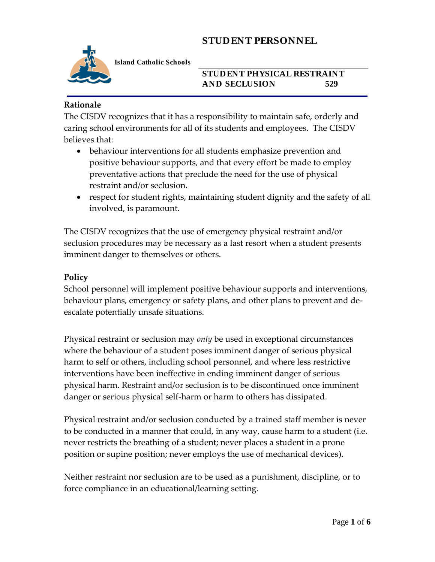

**Island Catholic Schools** 

## **STUDENT PHYSICAL RESTRAINT AND SECLUSION 529**

### **Rationale**

The CISDV recognizes that it has a responsibility to maintain safe, orderly and caring school environments for all of its students and employees. The CISDV believes that:

- behaviour interventions for all students emphasize prevention and positive behaviour supports, and that every effort be made to employ preventative actions that preclude the need for the use of physical restraint and/or seclusion.
- respect for student rights, maintaining student dignity and the safety of all involved, is paramount.

The CISDV recognizes that the use of emergency physical restraint and/or seclusion procedures may be necessary as a last resort when a student presents imminent danger to themselves or others.

### **Policy**

School personnel will implement positive behaviour supports and interventions, behaviour plans, emergency or safety plans, and other plans to prevent and deescalate potentially unsafe situations.

Physical restraint or seclusion may *only* be used in exceptional circumstances where the behaviour of a student poses imminent danger of serious physical harm to self or others, including school personnel, and where less restrictive interventions have been ineffective in ending imminent danger of serious physical harm. Restraint and/or seclusion is to be discontinued once imminent danger or serious physical self-harm or harm to others has dissipated.

Physical restraint and/or seclusion conducted by a trained staff member is never to be conducted in a manner that could, in any way, cause harm to a student (i.e. never restricts the breathing of a student; never places a student in a prone position or supine position; never employs the use of mechanical devices).

Neither restraint nor seclusion are to be used as a punishment, discipline, or to force compliance in an educational/learning setting.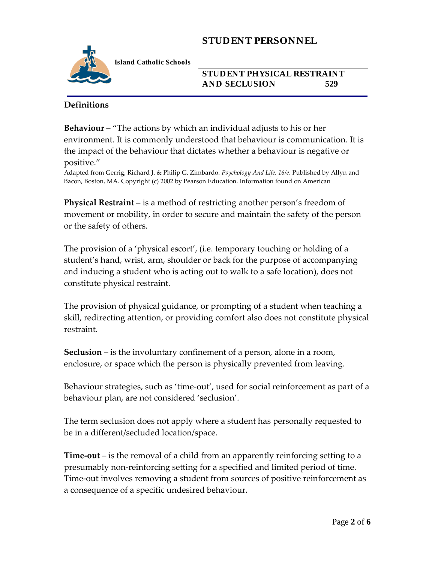

**Island Catholic Schools** 

## **STUDENT PHYSICAL RESTRAINT AND SECLUSION 529**

### **Definitions**

**Behaviour** – "The actions by which an individual adjusts to his or her environment. It is commonly understood that behaviour is communication. It is the impact of the behaviour that dictates whether a behaviour is negative or positive."

Adapted from Gerrig, Richard J. & Philip G. Zimbardo. *Psychology And Life, 16/e*. Published by Allyn and Bacon, Boston, MA. Copyright (c) 2002 by Pearson Education. Information found on American

**Physical Restraint** – is a method of restricting another person's freedom of movement or mobility, in order to secure and maintain the safety of the person or the safety of others.

The provision of a 'physical escort', (i.e. temporary touching or holding of a student's hand, wrist, arm, shoulder or back for the purpose of accompanying and inducing a student who is acting out to walk to a safe location), does not constitute physical restraint.

The provision of physical guidance, or prompting of a student when teaching a skill, redirecting attention, or providing comfort also does not constitute physical restraint.

**Seclusion** *–* is the involuntary confinement of a person, alone in a room, enclosure, or space which the person is physically prevented from leaving.

Behaviour strategies, such as 'time-out', used for social reinforcement as part of a behaviour plan, are not considered 'seclusion'.

The term seclusion does not apply where a student has personally requested to be in a different/secluded location/space.

**Time-out** – is the removal of a child from an apparently reinforcing setting to a presumably non-reinforcing setting for a specified and limited period of time. Time-out involves removing a student from sources of positive reinforcement as a consequence of a specific undesired behaviour.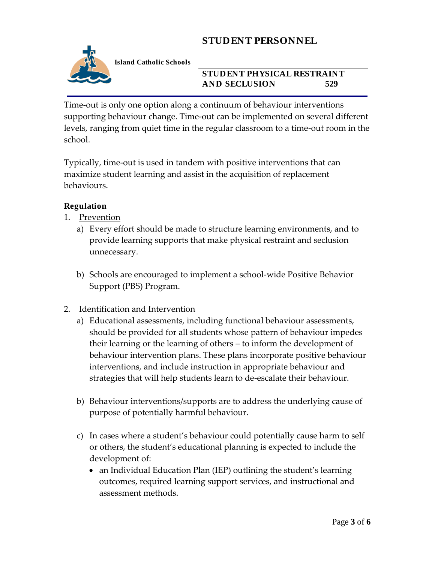

### **STUDENT PHYSICAL RESTRAINT AND SECLUSION 529**

Time-out is only one option along a continuum of behaviour interventions supporting behaviour change. Time-out can be implemented on several different levels, ranging from quiet time in the regular classroom to a time-out room in the school.

Typically, time-out is used in tandem with positive interventions that can maximize student learning and assist in the acquisition of replacement behaviours.

## **Regulation**

- 1. Prevention
	- a) Every effort should be made to structure learning environments, and to provide learning supports that make physical restraint and seclusion unnecessary.
	- b) Schools are encouraged to implement a school-wide Positive Behavior Support (PBS) Program.

## 2. Identification and Intervention

- a) Educational assessments, including functional behaviour assessments, should be provided for all students whose pattern of behaviour impedes their learning or the learning of others – to inform the development of behaviour intervention plans. These plans incorporate positive behaviour interventions, and include instruction in appropriate behaviour and strategies that will help students learn to de-escalate their behaviour.
- b) Behaviour interventions/supports are to address the underlying cause of purpose of potentially harmful behaviour.
- c) In cases where a student's behaviour could potentially cause harm to self or others, the student's educational planning is expected to include the development of:
	- an Individual Education Plan (IEP) outlining the student's learning outcomes, required learning support services, and instructional and assessment methods.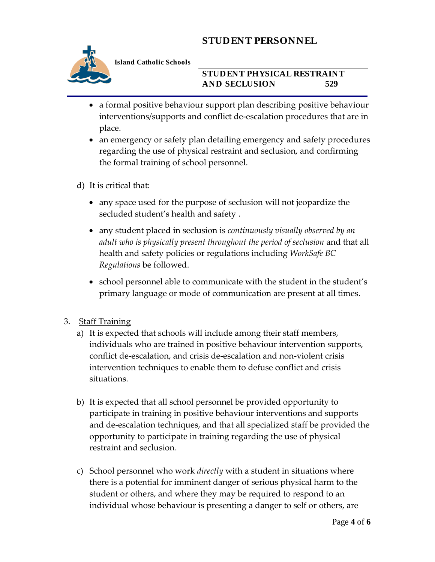

**Island Catholic Schools** 

### **STUDENT PHYSICAL RESTRAINT AND SECLUSION 529**

- a formal positive behaviour support plan describing positive behaviour interventions/supports and conflict de-escalation procedures that are in place.
- an emergency or safety plan detailing emergency and safety procedures regarding the use of physical restraint and seclusion, and confirming the formal training of school personnel.
- d) It is critical that:
	- any space used for the purpose of seclusion will not jeopardize the secluded student's health and safety .
	- any student placed in seclusion is *continuously visually observed by an adult who is physically present throughout the period of seclusion* and that all health and safety policies or regulations including *WorkSafe BC Regulations* be followed.
	- school personnel able to communicate with the student in the student's primary language or mode of communication are present at all times.

## 3. Staff Training

- a) It is expected that schools will include among their staff members, individuals who are trained in positive behaviour intervention supports, conflict de-escalation, and crisis de-escalation and non-violent crisis intervention techniques to enable them to defuse conflict and crisis situations.
- b) It is expected that all school personnel be provided opportunity to participate in training in positive behaviour interventions and supports and de-escalation techniques, and that all specialized staff be provided the opportunity to participate in training regarding the use of physical restraint and seclusion.
- c) School personnel who work *directly* with a student in situations where there is a potential for imminent danger of serious physical harm to the student or others, and where they may be required to respond to an individual whose behaviour is presenting a danger to self or others, are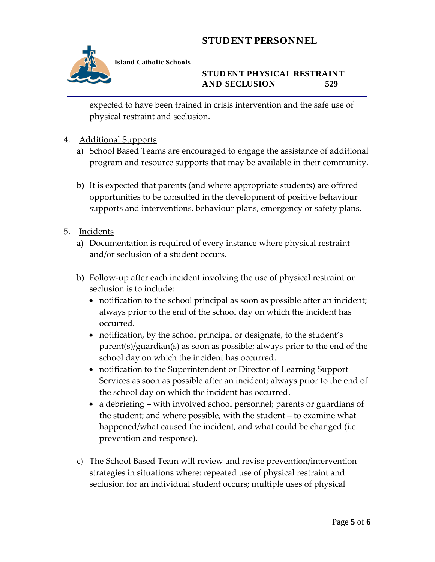

#### **STUDENT PHYSICAL RESTRAINT AND SECLUSION 529**

expected to have been trained in crisis intervention and the safe use of physical restraint and seclusion.

- 4. Additional Supports
	- a) School Based Teams are encouraged to engage the assistance of additional program and resource supports that may be available in their community.
	- b) It is expected that parents (and where appropriate students) are offered opportunities to be consulted in the development of positive behaviour supports and interventions, behaviour plans, emergency or safety plans.
- 5. Incidents
	- a) Documentation is required of every instance where physical restraint and/or seclusion of a student occurs.
	- b) Follow-up after each incident involving the use of physical restraint or seclusion is to include:
		- notification to the school principal as soon as possible after an incident; always prior to the end of the school day on which the incident has occurred.
		- notification, by the school principal or designate, to the student's parent(s)/guardian(s) as soon as possible; always prior to the end of the school day on which the incident has occurred.
		- notification to the Superintendent or Director of Learning Support Services as soon as possible after an incident; always prior to the end of the school day on which the incident has occurred.
		- a debriefing with involved school personnel; parents or guardians of the student; and where possible, with the student – to examine what happened/what caused the incident, and what could be changed (i.e. prevention and response).
	- c) The School Based Team will review and revise prevention/intervention strategies in situations where: repeated use of physical restraint and seclusion for an individual student occurs; multiple uses of physical